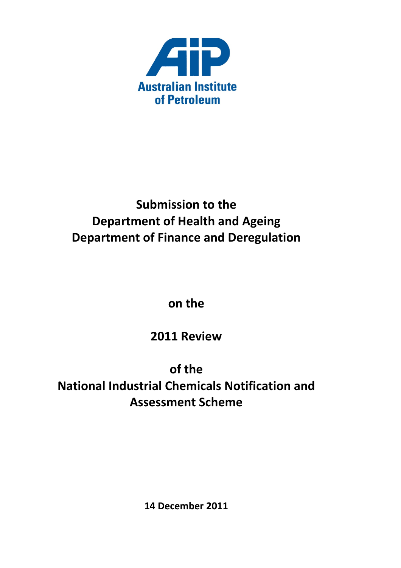

# **Submission to the Department of Health and Ageing Department of Finance and Deregulation**

**on the**

**2011 Review**

**of the National Industrial Chemicals Notification and Assessment Scheme**

**14 December 2011**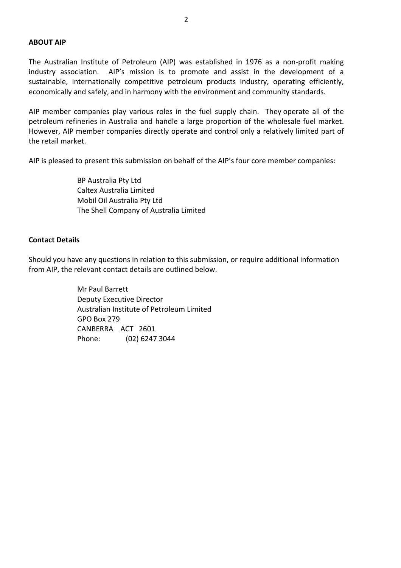#### **ABOUT AIP**

The Australian Institute of Petroleum (AIP) was established in 1976 as a non‐profit making industry association. AIP's mission is to promote and assist in the development of a sustainable, internationally competitive petroleum products industry, operating efficiently, economically and safely, and in harmony with the environment and community standards.

AIP member companies play various roles in the fuel supply chain. They operate all of the petroleum refineries in Australia and handle a large proportion of the wholesale fuel market. However, AIP member companies directly operate and control only a relatively limited part of the retail market.

AIP is pleased to present this submission on behalf of the AIP's four core member companies:

 BP Australia Pty Ltd Caltex Australia Limited Mobil Oil Australia Pty Ltd The Shell Company of Australia Limited

#### **Contact Details**

Should you have any questions in relation to this submission, or require additional information from AIP, the relevant contact details are outlined below.

> Mr Paul Barrett Deputy Executive Director Australian Institute of Petroleum Limited GPO Box 279 CANBERRA ACT 2601 Phone: (02) 6247 3044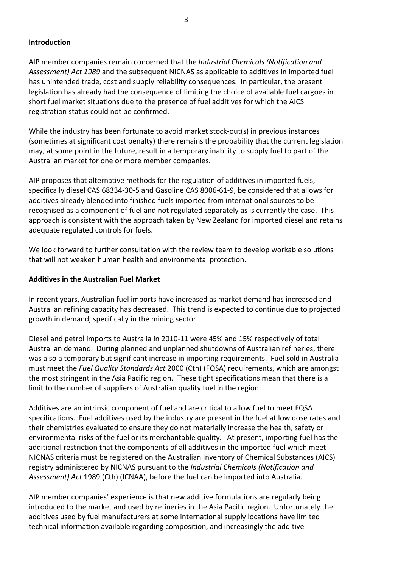### **Introduction**

AIP member companies remain concerned that the *Industrial Chemicals (Notification and Assessment) Act 1989* and the subsequent NICNAS as applicable to additives in imported fuel has unintended trade, cost and supply reliability consequences. In particular, the present legislation has already had the consequence of limiting the choice of available fuel cargoes in short fuel market situations due to the presence of fuel additives for which the AICS registration status could not be confirmed.

While the industry has been fortunate to avoid market stock-out(s) in previous instances (sometimes at significant cost penalty) there remains the probability that the current legislation may, at some point in the future, result in a temporary inability to supply fuel to part of the Australian market for one or more member companies.

AIP proposes that alternative methods for the regulation of additives in imported fuels, specifically diesel CAS 68334‐30‐5 and Gasoline CAS 8006‐61‐9, be considered that allows for additives already blended into finished fuels imported from international sources to be recognised as a component of fuel and not regulated separately as is currently the case. This approach is consistent with the approach taken by New Zealand for imported diesel and retains adequate regulated controls for fuels.

We look forward to further consultation with the review team to develop workable solutions that will not weaken human health and environmental protection.

## **Additives in the Australian Fuel Market**

In recent years, Australian fuel imports have increased as market demand has increased and Australian refining capacity has decreased. This trend is expected to continue due to projected growth in demand, specifically in the mining sector.

Diesel and petrol imports to Australia in 2010‐11 were 45% and 15% respectively of total Australian demand. During planned and unplanned shutdowns of Australian refineries, there was also a temporary but significant increase in importing requirements. Fuel sold in Australia must meet the *Fuel Quality Standards Act* 2000 (Cth) (FQSA) requirements, which are amongst the most stringent in the Asia Pacific region. These tight specifications mean that there is a limit to the number of suppliers of Australian quality fuel in the region.

Additives are an intrinsic component of fuel and are critical to allow fuel to meet FQSA specifications. Fuel additives used by the industry are present in the fuel at low dose rates and their chemistries evaluated to ensure they do not materially increase the health, safety or environmental risks of the fuel or its merchantable quality. At present, importing fuel has the additional restriction that the components of all additives in the imported fuel which meet NICNAS criteria must be registered on the Australian Inventory of Chemical Substances (AICS) registry administered by NICNAS pursuant to the *Industrial Chemicals (Notification and Assessment) Act* 1989 (Cth) (ICNAA), before the fuel can be imported into Australia.

AIP member companies' experience is that new additive formulations are regularly being introduced to the market and used by refineries in the Asia Pacific region. Unfortunately the additives used by fuel manufacturers at some international supply locations have limited technical information available regarding composition, and increasingly the additive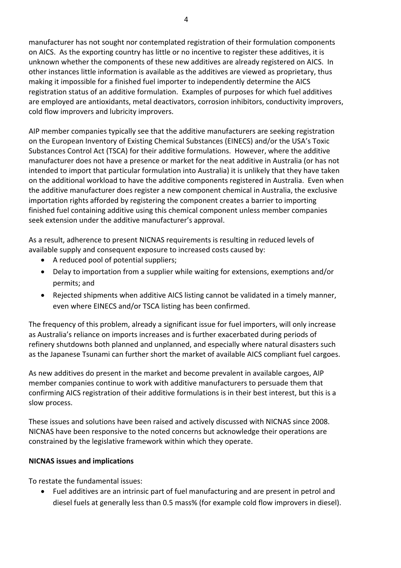manufacturer has not sought nor contemplated registration of their formulation components on AICS. As the exporting country has little or no incentive to register these additives, it is unknown whether the components of these new additives are already registered on AICS. In other instances little information is available as the additives are viewed as proprietary, thus making it impossible for a finished fuel importer to independently determine the AICS registration status of an additive formulation. Examples of purposes for which fuel additives are employed are antioxidants, metal deactivators, corrosion inhibitors, conductivity improvers, cold flow improvers and lubricity improvers.

AIP member companies typically see that the additive manufacturers are seeking registration on the European Inventory of Existing Chemical Substances (EINECS) and/or the USA's Toxic Substances Control Act (TSCA) for their additive formulations. However, where the additive manufacturer does not have a presence or market for the neat additive in Australia (or has not intended to import that particular formulation into Australia) it is unlikely that they have taken on the additional workload to have the additive components registered in Australia. Even when the additive manufacturer does register a new component chemical in Australia, the exclusive importation rights afforded by registering the component creates a barrier to importing finished fuel containing additive using this chemical component unless member companies seek extension under the additive manufacturer's approval.

As a result, adherence to present NICNAS requirements is resulting in reduced levels of available supply and consequent exposure to increased costs caused by:

- A reduced pool of potential suppliers;
- Delay to importation from a supplier while waiting for extensions, exemptions and/or permits; and
- Rejected shipments when additive AICS listing cannot be validated in a timely manner, even where EINECS and/or TSCA listing has been confirmed.

The frequency of this problem, already a significant issue for fuel importers, will only increase as Australia's reliance on imports increases and is further exacerbated during periods of refinery shutdowns both planned and unplanned, and especially where natural disasters such as the Japanese Tsunami can further short the market of available AICS compliant fuel cargoes.

As new additives do present in the market and become prevalent in available cargoes, AIP member companies continue to work with additive manufacturers to persuade them that confirming AICS registration of their additive formulations is in their best interest, but this is a slow process.

These issues and solutions have been raised and actively discussed with NICNAS since 2008. NICNAS have been responsive to the noted concerns but acknowledge their operations are constrained by the legislative framework within which they operate.

## **NICNAS issues and implications**

To restate the fundamental issues:

• Fuel additives are an intrinsic part of fuel manufacturing and are present in petrol and diesel fuels at generally less than 0.5 mass% (for example cold flow improvers in diesel).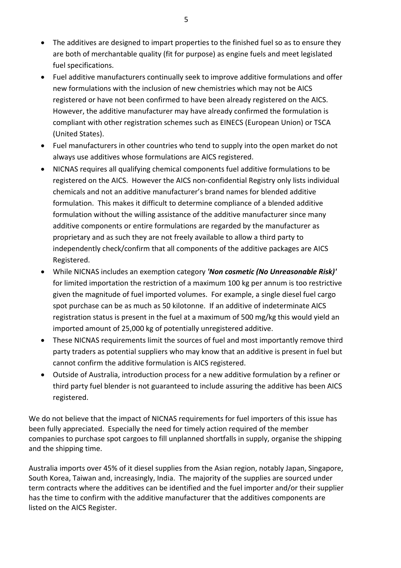- The additives are designed to impart properties to the finished fuel so as to ensure they are both of merchantable quality (fit for purpose) as engine fuels and meet legislated fuel specifications.
- Fuel additive manufacturers continually seek to improve additive formulations and offer new formulations with the inclusion of new chemistries which may not be AICS registered or have not been confirmed to have been already registered on the AICS. However, the additive manufacturer may have already confirmed the formulation is compliant with other registration schemes such as EINECS (European Union) or TSCA (United States).
- Fuel manufacturers in other countries who tend to supply into the open market do not always use additives whose formulations are AICS registered.
- NICNAS requires all qualifying chemical components fuel additive formulations to be registered on the AICS. However the AICS non‐confidential Registry only lists individual chemicals and not an additive manufacturer's brand names for blended additive formulation. This makes it difficult to determine compliance of a blended additive formulation without the willing assistance of the additive manufacturer since many additive components or entire formulations are regarded by the manufacturer as proprietary and as such they are not freely available to allow a third party to independently check/confirm that all components of the additive packages are AICS Registered.
- While NICNAS includes an exemption category *'Non cosmetic (No Unreasonable Risk)'* for limited importation the restriction of a maximum 100 kg per annum is too restrictive given the magnitude of fuel imported volumes. For example, a single diesel fuel cargo spot purchase can be as much as 50 kilotonne. If an additive of indeterminate AICS registration status is present in the fuel at a maximum of 500 mg/kg this would yield an imported amount of 25,000 kg of potentially unregistered additive.
- These NICNAS requirements limit the sources of fuel and most importantly remove third party traders as potential suppliers who may know that an additive is present in fuel but cannot confirm the additive formulation is AICS registered.
- Outside of Australia, introduction process for a new additive formulation by a refiner or third party fuel blender is not guaranteed to include assuring the additive has been AICS registered.

We do not believe that the impact of NICNAS requirements for fuel importers of this issue has been fully appreciated. Especially the need for timely action required of the member companies to purchase spot cargoes to fill unplanned shortfalls in supply, organise the shipping and the shipping time.

Australia imports over 45% of it diesel supplies from the Asian region, notably Japan, Singapore, South Korea, Taiwan and, increasingly, India. The majority of the supplies are sourced under term contracts where the additives can be identified and the fuel importer and/or their supplier has the time to confirm with the additive manufacturer that the additives components are listed on the AICS Register.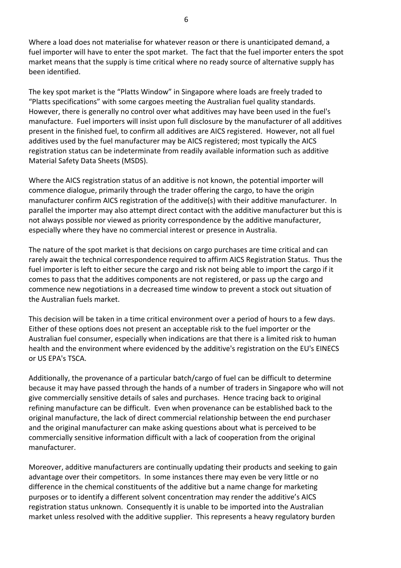Where a load does not materialise for whatever reason or there is unanticipated demand, a fuel importer will have to enter the spot market. The fact that the fuel importer enters the spot market means that the supply is time critical where no ready source of alternative supply has been identified.

The key spot market is the "Platts Window" in Singapore where loads are freely traded to "Platts specifications" with some cargoes meeting the Australian fuel quality standards. However, there is generally no control over what additives may have been used in the fuel's manufacture. Fuel importers will insist upon full disclosure by the manufacturer of all additives present in the finished fuel, to confirm all additives are AICS registered. However, not all fuel additives used by the fuel manufacturer may be AICS registered; most typically the AICS registration status can be indeterminate from readily available information such as additive Material Safety Data Sheets (MSDS).

Where the AICS registration status of an additive is not known, the potential importer will commence dialogue, primarily through the trader offering the cargo, to have the origin manufacturer confirm AICS registration of the additive(s) with their additive manufacturer. In parallel the importer may also attempt direct contact with the additive manufacturer but this is not always possible nor viewed as priority correspondence by the additive manufacturer, especially where they have no commercial interest or presence in Australia.

The nature of the spot market is that decisions on cargo purchases are time critical and can rarely await the technical correspondence required to affirm AICS Registration Status. Thus the fuel importer is left to either secure the cargo and risk not being able to import the cargo if it comes to pass that the additives components are not registered, or pass up the cargo and commence new negotiations in a decreased time window to prevent a stock out situation of the Australian fuels market.

This decision will be taken in a time critical environment over a period of hours to a few days. Either of these options does not present an acceptable risk to the fuel importer or the Australian fuel consumer, especially when indications are that there is a limited risk to human health and the environment where evidenced by the additive's registration on the EU's EINECS or US EPA's TSCA.

Additionally, the provenance of a particular batch/cargo of fuel can be difficult to determine because it may have passed through the hands of a number of traders in Singapore who will not give commercially sensitive details of sales and purchases. Hence tracing back to original refining manufacture can be difficult. Even when provenance can be established back to the original manufacture, the lack of direct commercial relationship between the end purchaser and the original manufacturer can make asking questions about what is perceived to be commercially sensitive information difficult with a lack of cooperation from the original manufacturer.

Moreover, additive manufacturers are continually updating their products and seeking to gain advantage over their competitors. In some instances there may even be very little or no difference in the chemical constituents of the additive but a name change for marketing purposes or to identify a different solvent concentration may render the additive's AICS registration status unknown. Consequently it is unable to be imported into the Australian market unless resolved with the additive supplier. This represents a heavy regulatory burden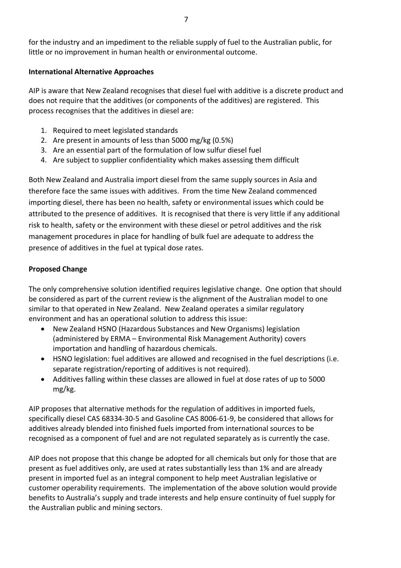## **International Alternative Approaches**

AIP is aware that New Zealand recognises that diesel fuel with additive is a discrete product and does not require that the additives (or components of the additives) are registered. This process recognises that the additives in diesel are:

- 1. Required to meet legislated standards
- 2. Are present in amounts of less than 5000 mg/kg (0.5%)
- 3. Are an essential part of the formulation of low sulfur diesel fuel
- 4. Are subject to supplier confidentiality which makes assessing them difficult

Both New Zealand and Australia import diesel from the same supply sources in Asia and therefore face the same issues with additives. From the time New Zealand commenced importing diesel, there has been no health, safety or environmental issues which could be attributed to the presence of additives. It is recognised that there is very little if any additional risk to health, safety or the environment with these diesel or petrol additives and the risk management procedures in place for handling of bulk fuel are adequate to address the presence of additives in the fuel at typical dose rates.

# **Proposed Change**

The only comprehensive solution identified requires legislative change. One option that should be considered as part of the current review is the alignment of the Australian model to one similar to that operated in New Zealand. New Zealand operates a similar regulatory environment and has an operational solution to address this issue:

- New Zealand HSNO (Hazardous Substances and New Organisms) legislation (administered by ERMA – Environmental Risk Management Authority) covers importation and handling of hazardous chemicals.
- HSNO legislation: fuel additives are allowed and recognised in the fuel descriptions (i.e. separate registration/reporting of additives is not required).
- Additives falling within these classes are allowed in fuel at dose rates of up to 5000 mg/kg.

AIP proposes that alternative methods for the regulation of additives in imported fuels, specifically diesel CAS 68334‐30‐5 and Gasoline CAS 8006‐61‐9, be considered that allows for additives already blended into finished fuels imported from international sources to be recognised as a component of fuel and are not regulated separately as is currently the case.

AIP does not propose that this change be adopted for all chemicals but only for those that are present as fuel additives only, are used at rates substantially less than 1% and are already present in imported fuel as an integral component to help meet Australian legislative or customer operability requirements. The implementation of the above solution would provide benefits to Australia's supply and trade interests and help ensure continuity of fuel supply for the Australian public and mining sectors.